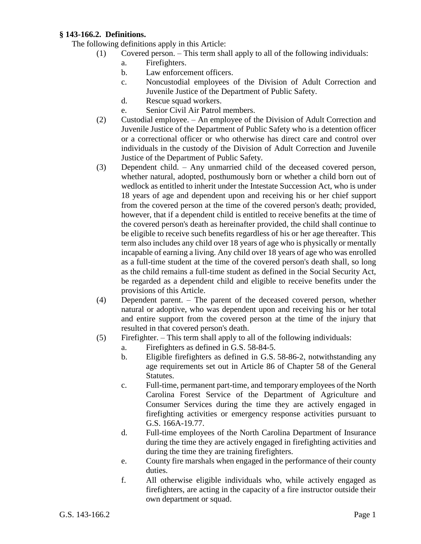## **§ 143-166.2. Definitions.**

The following definitions apply in this Article:

- (1) Covered person. This term shall apply to all of the following individuals:
	- a. Firefighters.
		- b. Law enforcement officers.
	- c. Noncustodial employees of the Division of Adult Correction and Juvenile Justice of the Department of Public Safety.
	- d. Rescue squad workers.
	- e. Senior Civil Air Patrol members.
	- (2) Custodial employee. An employee of the Division of Adult Correction and Juvenile Justice of the Department of Public Safety who is a detention officer or a correctional officer or who otherwise has direct care and control over individuals in the custody of the Division of Adult Correction and Juvenile Justice of the Department of Public Safety.
	- (3) Dependent child. Any unmarried child of the deceased covered person, whether natural, adopted, posthumously born or whether a child born out of wedlock as entitled to inherit under the Intestate Succession Act, who is under 18 years of age and dependent upon and receiving his or her chief support from the covered person at the time of the covered person's death; provided, however, that if a dependent child is entitled to receive benefits at the time of the covered person's death as hereinafter provided, the child shall continue to be eligible to receive such benefits regardless of his or her age thereafter. This term also includes any child over 18 years of age who is physically or mentally incapable of earning a living. Any child over 18 years of age who was enrolled as a full-time student at the time of the covered person's death shall, so long as the child remains a full-time student as defined in the Social Security Act, be regarded as a dependent child and eligible to receive benefits under the provisions of this Article.
	- (4) Dependent parent. The parent of the deceased covered person, whether natural or adoptive, who was dependent upon and receiving his or her total and entire support from the covered person at the time of the injury that resulted in that covered person's death.
	- (5) Firefighter. This term shall apply to all of the following individuals:
		- a. Firefighters as defined in G.S. 58-84-5.
		- b. Eligible firefighters as defined in G.S. 58-86-2, notwithstanding any age requirements set out in Article 86 of Chapter 58 of the General Statutes.
		- c. Full-time, permanent part-time, and temporary employees of the North Carolina Forest Service of the Department of Agriculture and Consumer Services during the time they are actively engaged in firefighting activities or emergency response activities pursuant to G.S. 166A-19.77.
		- d. Full-time employees of the North Carolina Department of Insurance during the time they are actively engaged in firefighting activities and during the time they are training firefighters.
		- e. County fire marshals when engaged in the performance of their county duties.
		- f. All otherwise eligible individuals who, while actively engaged as firefighters, are acting in the capacity of a fire instructor outside their own department or squad.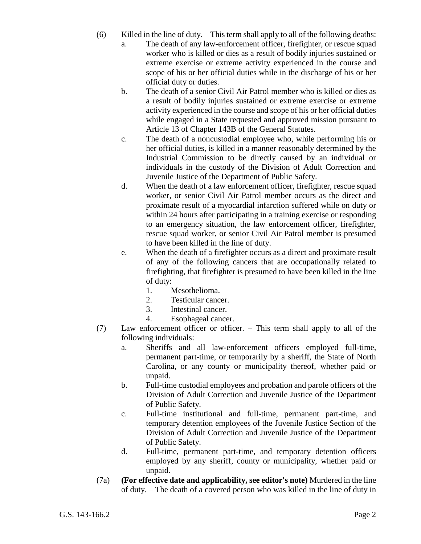- (6) Killed in the line of duty. This term shall apply to all of the following deaths:
	- a. The death of any law-enforcement officer, firefighter, or rescue squad worker who is killed or dies as a result of bodily injuries sustained or extreme exercise or extreme activity experienced in the course and scope of his or her official duties while in the discharge of his or her official duty or duties.
	- b. The death of a senior Civil Air Patrol member who is killed or dies as a result of bodily injuries sustained or extreme exercise or extreme activity experienced in the course and scope of his or her official duties while engaged in a State requested and approved mission pursuant to Article 13 of Chapter 143B of the General Statutes.
	- c. The death of a noncustodial employee who, while performing his or her official duties, is killed in a manner reasonably determined by the Industrial Commission to be directly caused by an individual or individuals in the custody of the Division of Adult Correction and Juvenile Justice of the Department of Public Safety.
	- d. When the death of a law enforcement officer, firefighter, rescue squad worker, or senior Civil Air Patrol member occurs as the direct and proximate result of a myocardial infarction suffered while on duty or within 24 hours after participating in a training exercise or responding to an emergency situation, the law enforcement officer, firefighter, rescue squad worker, or senior Civil Air Patrol member is presumed to have been killed in the line of duty.
	- e. When the death of a firefighter occurs as a direct and proximate result of any of the following cancers that are occupationally related to firefighting, that firefighter is presumed to have been killed in the line of duty:
		- 1. Mesothelioma.
		- 2. Testicular cancer.
		- 3. Intestinal cancer.
		- 4. Esophageal cancer.
- (7) Law enforcement officer or officer. This term shall apply to all of the following individuals:
	- a. Sheriffs and all law-enforcement officers employed full-time, permanent part-time, or temporarily by a sheriff, the State of North Carolina, or any county or municipality thereof, whether paid or unpaid.
	- b. Full-time custodial employees and probation and parole officers of the Division of Adult Correction and Juvenile Justice of the Department of Public Safety.
	- c. Full-time institutional and full-time, permanent part-time, and temporary detention employees of the Juvenile Justice Section of the Division of Adult Correction and Juvenile Justice of the Department of Public Safety.
	- d. Full-time, permanent part-time, and temporary detention officers employed by any sheriff, county or municipality, whether paid or unpaid.
- (7a) **(For effective date and applicability, see editor's note)** Murdered in the line of duty. – The death of a covered person who was killed in the line of duty in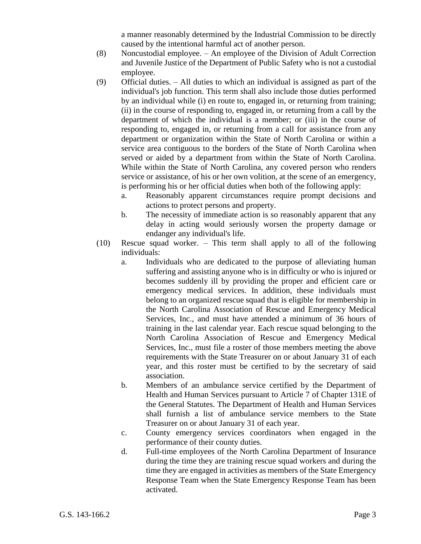a manner reasonably determined by the Industrial Commission to be directly caused by the intentional harmful act of another person.

- (8) Noncustodial employee. An employee of the Division of Adult Correction and Juvenile Justice of the Department of Public Safety who is not a custodial employee.
- (9) Official duties. All duties to which an individual is assigned as part of the individual's job function. This term shall also include those duties performed by an individual while (i) en route to, engaged in, or returning from training; (ii) in the course of responding to, engaged in, or returning from a call by the department of which the individual is a member; or (iii) in the course of responding to, engaged in, or returning from a call for assistance from any department or organization within the State of North Carolina or within a service area contiguous to the borders of the State of North Carolina when served or aided by a department from within the State of North Carolina. While within the State of North Carolina, any covered person who renders service or assistance, of his or her own volition, at the scene of an emergency, is performing his or her official duties when both of the following apply:
	- a. Reasonably apparent circumstances require prompt decisions and actions to protect persons and property.
	- b. The necessity of immediate action is so reasonably apparent that any delay in acting would seriously worsen the property damage or endanger any individual's life.
- (10) Rescue squad worker. This term shall apply to all of the following individuals:
	- a. Individuals who are dedicated to the purpose of alleviating human suffering and assisting anyone who is in difficulty or who is injured or becomes suddenly ill by providing the proper and efficient care or emergency medical services. In addition, these individuals must belong to an organized rescue squad that is eligible for membership in the North Carolina Association of Rescue and Emergency Medical Services, Inc., and must have attended a minimum of 36 hours of training in the last calendar year. Each rescue squad belonging to the North Carolina Association of Rescue and Emergency Medical Services, Inc., must file a roster of those members meeting the above requirements with the State Treasurer on or about January 31 of each year, and this roster must be certified to by the secretary of said association.
	- b. Members of an ambulance service certified by the Department of Health and Human Services pursuant to Article 7 of Chapter 131E of the General Statutes. The Department of Health and Human Services shall furnish a list of ambulance service members to the State Treasurer on or about January 31 of each year.
	- c. County emergency services coordinators when engaged in the performance of their county duties.
	- d. Full-time employees of the North Carolina Department of Insurance during the time they are training rescue squad workers and during the time they are engaged in activities as members of the State Emergency Response Team when the State Emergency Response Team has been activated.